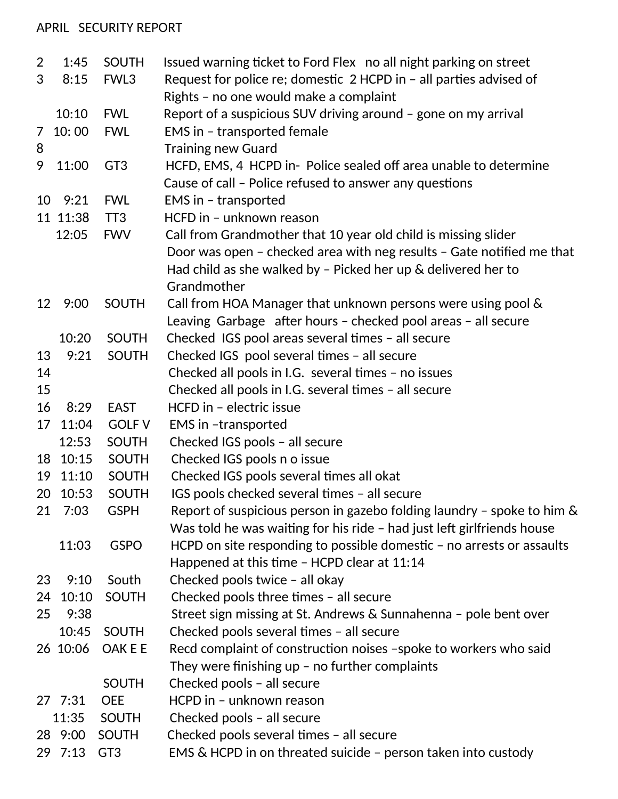## APRIL SECURITY REPORT

| $\overline{2}$ | 1:45     | <b>SOUTH</b>     | Issued warning ticket to Ford Flex no all night parking on street      |
|----------------|----------|------------------|------------------------------------------------------------------------|
| 3              | 8:15     | FWL <sub>3</sub> | Request for police re; domestic 2 HCPD in - all parties advised of     |
|                |          |                  | Rights - no one would make a complaint                                 |
|                | 10:10    | <b>FWL</b>       | Report of a suspicious SUV driving around - gone on my arrival         |
| $\overline{7}$ | 10:00    | <b>FWL</b>       | EMS in - transported female                                            |
| 8              |          |                  | <b>Training new Guard</b>                                              |
| 9              | 11:00    | GT <sub>3</sub>  | HCFD, EMS, 4 HCPD in- Police sealed off area unable to determine       |
|                |          |                  | Cause of call - Police refused to answer any questions                 |
| 10             | 9:21     | <b>FWL</b>       | EMS in - transported                                                   |
|                | 11 11:38 | TT <sub>3</sub>  | HCFD in - unknown reason                                               |
|                | 12:05    | <b>FWV</b>       | Call from Grandmother that 10 year old child is missing slider         |
|                |          |                  | Door was open - checked area with neg results - Gate notified me that  |
|                |          |                  | Had child as she walked by $-$ Picked her up $\&$ delivered her to     |
|                |          |                  | Grandmother                                                            |
| 12             | 9:00     | <b>SOUTH</b>     | Call from HOA Manager that unknown persons were using pool &           |
|                |          |                  | Leaving Garbage after hours - checked pool areas - all secure          |
|                | 10:20    | <b>SOUTH</b>     | Checked IGS pool areas several times - all secure                      |
| 13             | 9:21     | <b>SOUTH</b>     | Checked IGS pool several times - all secure                            |
| 14             |          |                  | Checked all pools in I.G. several times - no issues                    |
| 15             |          |                  | Checked all pools in I.G. several times - all secure                   |
| 16             | 8:29     | <b>EAST</b>      | HCFD in - electric issue                                               |
| 17             | 11:04    | <b>GOLF V</b>    | EMS in -transported                                                    |
|                | 12:53    | <b>SOUTH</b>     | Checked IGS pools - all secure                                         |
| 18             | 10:15    | <b>SOUTH</b>     | Checked IGS pools n o issue                                            |
| 19             | 11:10    | <b>SOUTH</b>     | Checked IGS pools several times all okat                               |
| 20             | 10:53    | <b>SOUTH</b>     | IGS pools checked several times - all secure                           |
|                | 21 7:03  | <b>GSPH</b>      | Report of suspicious person in gazebo folding laundry - spoke to him & |
|                |          |                  | Was told he was waiting for his ride - had just left girlfriends house |
|                | 11:03    | <b>GSPO</b>      | HCPD on site responding to possible domestic - no arrests or assaults  |
|                |          |                  | Happened at this time - HCPD clear at 11:14                            |
| 23             | 9:10     | South            | Checked pools twice - all okay                                         |
| 24             | 10:10    | <b>SOUTH</b>     | Checked pools three times - all secure                                 |
| 25             | 9:38     |                  | Street sign missing at St. Andrews & Sunnahenna - pole bent over       |
|                | 10:45    | <b>SOUTH</b>     | Checked pools several times - all secure                               |
|                | 26 10:06 | OAK E E          | Recd complaint of construction noises -spoke to workers who said       |
|                |          |                  | They were finishing up $-$ no further complaints                       |
|                |          | <b>SOUTH</b>     | Checked pools - all secure                                             |
|                | 27 7:31  | <b>OEE</b>       | HCPD in - unknown reason                                               |
|                | 11:35    | <b>SOUTH</b>     | Checked pools - all secure                                             |
|                | 28 9:00  | <b>SOUTH</b>     | Checked pools several times - all secure                               |
|                | 29 7:13  | GT <sub>3</sub>  | EMS & HCPD in on threated suicide - person taken into custody          |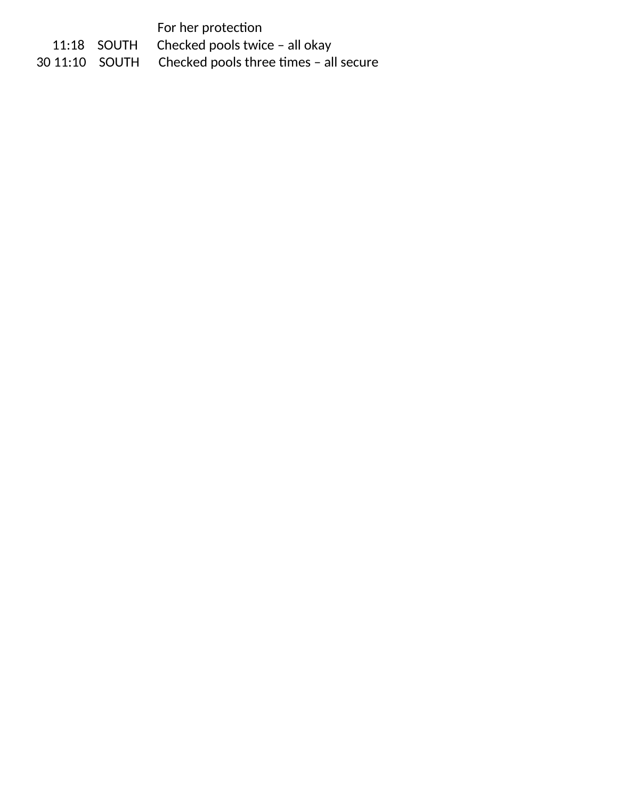For her protection

11:18 SOUTH Checked pools twice – all okay<br>30 11:10 SOUTH Checked pools three times – all Checked pools three times - all secure